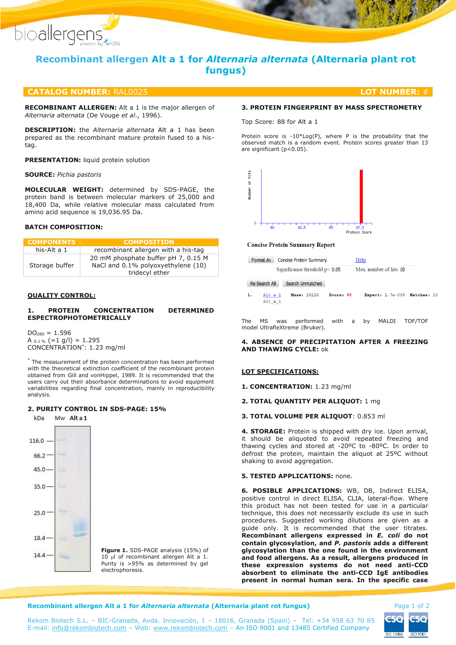

# **Recombinant allergen Alt a 1 for** *Alternaria alternata* **(Alternaria plant rot fungus)**

## **CATALOG NUMBER:** RAL0025 **LOT NUMBER:** #

**RECOMBINANT ALLERGEN:** Alt a 1 is the major allergen of *Alternaria alternata* (De Vouge *et al*., 1996).

**DESCRIPTION:** the *Alternaria alternata* Alt a 1 has been prepared as the recombinant mature protein fused to a histag.

**PRESENTATION:** liquid protein solution

### **SOURCE:** *Pichia pastoris*

**MOLECULAR WEIGHT:** determined by SDS-PAGE, the protein band is between molecular markers of 25,000 and 18,400 Da, while relative molecular mass calculated from amino acid sequence is 19,036.95 Da.

## **BATCH COMPOSITION:**

| <b>COMPONENTS</b> | <b>COMPOSITION</b>                                                                          |  |
|-------------------|---------------------------------------------------------------------------------------------|--|
| his-Alt a 1       | recombinant allergen with a his-tag                                                         |  |
| Storage buffer    | 20 mM phosphate buffer pH 7, 0.15 M<br>NaCl and 0.1% polyoxyethylene (10)<br>tridecyl ether |  |

### **QUALITY CONTROL:**

## **1. PROTEIN CONCENTRATION DETERMINED ESPECTROPHOTOMETRICALLY**

 $DO<sub>280</sub> = 1.596$ A  $_{0.1\%}$  (=1 g/l) = 1.295 CONCENTRATION\* : 1.23 mg/ml

The measurement of the protein concentration has been performed with the theoretical extinction coefficient of the recombinant protein obtained from Gill and vonHippel, 1989. It is recommended that the users carry out their absorbance determinations to avoid equipment variabilities regarding final concentration, mainly in reproducibility analysis.

## **2. PURITY CONTROL IN SDS-PAGE: 15%**

Mw Alta1 kDa



**Figure 1.** SDS-PAGE analysis (15%) of  $10$   $\mu$  of recombinant allergen Alt a 1. Purity is >95% as determined by gel electrophoresis.

## **3. PROTEIN FINGERPRINT BY MASS SPECTROMETRY**

Top Score: 88 for Alt a 1

Protein score is -10\*Log(P), where P is the probability that the observed match is a random event. Protein scores greater than 13 are significant (p<0.05).



#### **Concise Protein Summary Report**

| Format As Concise Protein Summary | Help                   |  |
|-----------------------------------|------------------------|--|
| Significance threshold $p$ < 0.05 | Max. number of hits 10 |  |

#### Re-Search All Search Unmatched

 $\mathbf{1}$ Alt a 1 Mass: 28226 Score: 88 Expect: 1.7e-009 Matches: 10  $Alt_a_1$ 

The MS was performed with a by MALDI TOF/TOF model UltrafleXtreme (Bruker).

## **4. ABSENCE OF PRECIPITATION AFTER A FREEZING AND THAWING CYCLE:** ok

## **LOT SPECIFICATIONS:**

**1. CONCENTRATION:** 1.23 mg/ml

#### **2. TOTAL QUANTITY PER ALIQUOT:** 1 mg

## **3. TOTAL VOLUME PER ALIQUOT**: 0.853 ml

**4. STORAGE:** Protein is shipped with dry ice. Upon arrival, it should be aliquoted to avoid repeated freezing and thawing cycles and stored at -20ºC to -80ºC. In order to defrost the protein, maintain the aliquot at 25ºC without shaking to avoid aggregation.

## **5. TESTED APPLICATIONS:** none.

**6. POSIBLE APPLICATIONS:** WB, DB, Indirect ELISA, positive control in direct ELISA, CLIA, lateral-flow. Where this product has not been tested for use in a particular technique, this does not necessarily exclude its use in such procedures. Suggested working dilutions are given as a guide only. It is recommended that the user titrates. **Recombinant allergens expressed in** *E. coli* **do not contain glycosylation, and** *P. pastoris* **adds a different glycosylation than the one found in the environment and food allergens. As a result, allergens produced in these expression systems do not need anti-CCD absorbent to eliminate the anti-CCD IgE antibodies present in normal human sera. In the specific case** 

#### **Recombinant allergen Alt a 1 for** *Alternaria alternata* **(Alternaria plant rot fungus) Page 1 of 2**

Rekom Biotech S.L. – BIC-Granada, Avda. Innovación, 1 – 18016, Granada (Spain) – Tel: +34 958 63 70 85 E-mail: [info@rekombiotech.com](mailto:info@rekombiotech.com) – Web: [www.rekombiotech.com](file:///D:/Dropbox/Rekom/pdfs/www.rekombiotech.com) – An ISO 9001 and 13485 Certified Company